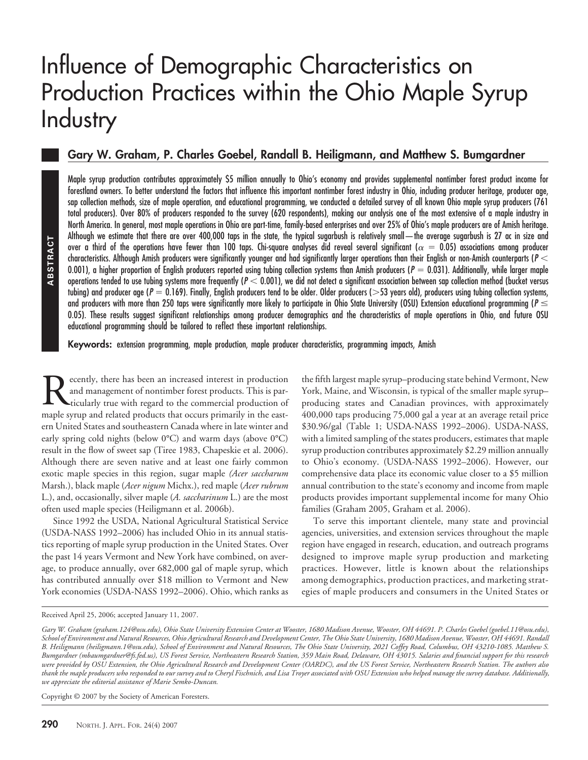# Influence of Demographic Characteristics on Production Practices within the Ohio Maple Syrup **Industry**

## **Gary W. Graham, P. Charles Goebel, Randall B. Heiligmann, and Matthew S. Bumgardner**

Maple syrup production contributes approximately \$5 million annually to Ohio's economy and provides supplemental nontimber forest product income for forestland owners. To better understand the factors that influence this important nontimber forest industry in Ohio, including producer heritage, producer age, sap collection methods, size of maple operation, and educational programming, we conducted a detailed survey of all known Ohio maple syrup producers (761 total producers). Over 80% of producers responded to the survey (620 respondents), making our analysis one of the most extensive of a maple industry in North America. In general, most maple operations in Ohio are part-time, family-based enterprises and over 25% of Ohio's maple producers are of Amish heritage. Although we estimate that there are over 400,000 taps in the state, the typical sugarbush is relatively small—the average sugarbush is 27 ac in size and over a third of the operations have fewer than 100 taps. Chi-square analyses did reveal several significant ( $\alpha = 0.05$ ) associations among producer characteristics. Although Amish producers were significantly younger and had significantly larger operations than their English or non-Amish counterparts (*P* - 0.001), a higher proportion of English producers reported using tubing collection systems than Amish producers ( $P = 0.031$ ). Additionally, while larger maple operations tended to use tubing systems more frequently (P  $<$  0.001), we did not detect a significant association between sap collection method (bucket versus tubing) and producer age (P = 0.169). Finally, English producers tend to be older. Older producers (>53 years old), producers using tubing collection systems, and producers with more than 250 taps were significantly more likely to participate in Ohio State University (OSU) Extension educational programming ( $\mathit{P} \leq$ 0.05). These results suggest significant relationships among producer demographics and the characteristics of maple operations in Ohio, and future OSU educational programming should be tailored to reflect these important relationships.

**Keywords:** extension programming, maple production, maple producer characteristics, programming impacts, Amish

ecently, there has been an increased interest in production and management of nontimber forest products. This is particularly true with regard to the commercial production of maple syrup and related products that occurs primarily in the eastern United States and southeastern Canada where in late winter and early spring cold nights (below 0°C) and warm days (above 0°C) result in the flow of sweet sap (Tiree 1983, Chapeskie et al. 2006). Although there are seven native and at least one fairly common exotic maple species in this region, sugar maple *(Acer saccharum* Marsh.), black maple (*Acer nigum* Michx.), red maple (*Acer rubrum* L.), and, occasionally, silver maple (*A. saccharinum* L.) are the most often used maple species (Heiligmann et al. 2006b). For the sealing the sealing the sealing the sealing the control of the operations here of the operations between the sealing system than product and product of the operations of the operations for the sealing system of the

Since 1992 the USDA, National Agricultural Statistical Service (USDA-NASS 1992–2006) has included Ohio in its annual statistics reporting of maple syrup production in the United States. Over the past 14 years Vermont and New York have combined, on average, to produce annually, over 682,000 gal of maple syrup, which has contributed annually over \$18 million to Vermont and New York economies (USDA-NASS 1992–2006). Ohio, which ranks as the fifth largest maple syrup–producing state behind Vermont, New York, Maine, and Wisconsin, is typical of the smaller maple syrup– producing states and Canadian provinces, with approximately 400,000 taps producing 75,000 gal a year at an average retail price \$30.96/gal (Table 1; USDA-NASS 1992–2006). USDA-NASS, with a limited sampling of the states producers, estimates that maple syrup production contributes approximately \$2.29 million annually to Ohio's economy. (USDA-NASS 1992–2006). However, our comprehensive data place its economic value closer to a \$5 million annual contribution to the state's economy and income from maple products provides important supplemental income for many Ohio families (Graham 2005, Graham et al. 2006).

To serve this important clientele, many state and provincial agencies, universities, and extension services throughout the maple region have engaged in research, education, and outreach programs designed to improve maple syrup production and marketing practices. However, little is known about the relationships among demographics, production practices, and marketing strategies of maple producers and consumers in the United States or

Copyright © 2007 by the Society of American Foresters.

Received April 25, 2006; accepted January 11, 2007.

*Gary W. Graham (graham.124@osu.edu), Ohio State University Extension Center at Wooster, 1680 Madison Avenue, Wooster, OH 44691. P. Charles Goebel (goebel.11@osu.edu), School of Environment and Natural Resources, Ohio Agricultural Research and Development Center, The Ohio State University, 1680 Madison Avenue, Wooster, OH 44691. Randall B. Heiligmann (heiligmann.1@osu.edu), School of Environment and Natural Resources, The Ohio State University, 2021 Coffey Road, Columbus, OH 43210-1085. Matthew S. Bumgardner (mbaumgardner@fs.fed.us), US Forest Service, Northeastern Research Station, 359 Main Road, Delaware, OH 43015. Salaries and financial support for this research were provided by OSU Extension, the Ohio Agricultural Research and Development Center (OARDC), and the US Forest Service, Northeastern Research Station. The authors also thank the maple producers who responded to our survey and to Cheryl Fischnich, and Lisa Troyer associated with OSU Extension who helped manage the survey database. Additionally, we appreciate the editorial assistance of Marie Semko-Duncan.*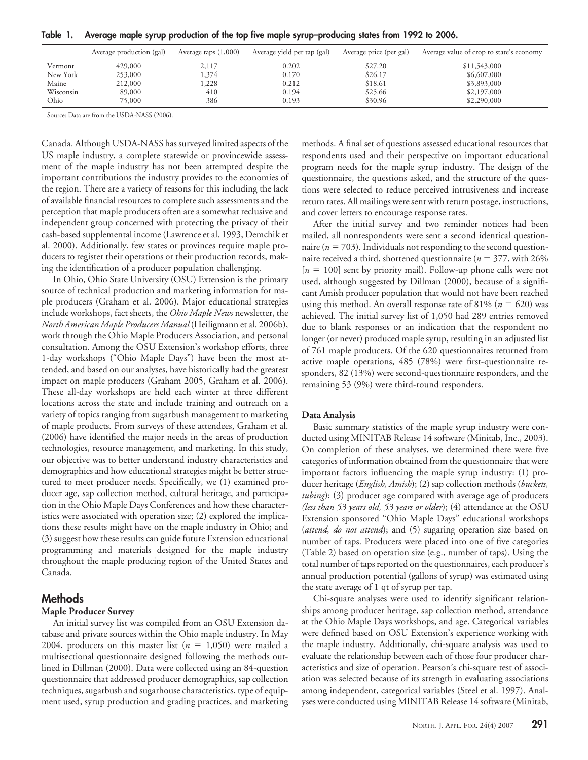| Table 1 |  |  |  | Average maple syrup production of the top five maple syrup-producing states from 1992 to 2006. |
|---------|--|--|--|------------------------------------------------------------------------------------------------|
|         |  |  |  |                                                                                                |

|           | Average production (gal) | Average taps $(1,000)$ | Average yield per tap (gal) | Average price (per gal) | Average value of crop to state's economy |
|-----------|--------------------------|------------------------|-----------------------------|-------------------------|------------------------------------------|
| Vermont   | 429,000                  | 2,117                  | 0.202                       | \$27.20                 | \$11,543,000                             |
| New York  | 253,000                  | 1,374                  | 0.170                       | \$26.17                 | \$6,607,000                              |
| Maine     | 212,000                  | .228                   | 0.212                       | \$18.61                 | \$3,893,000                              |
| Wisconsin | 89,000                   | 410                    | 0.194                       | \$25.66                 | \$2,197,000                              |
| Ohio      | 75,000                   | 386                    | 0.193                       | \$30.96                 | \$2,290,000                              |

Source: Data are from the USDA-NASS (2006).

Canada. Although USDA-NASS has surveyed limited aspects of the US maple industry, a complete statewide or provincewide assessment of the maple industry has not been attempted despite the important contributions the industry provides to the economies of the region. There are a variety of reasons for this including the lack of available financial resources to complete such assessments and the perception that maple producers often are a somewhat reclusive and independent group concerned with protecting the privacy of their cash-based supplemental income (Lawrence et al. 1993, Demchik et al. 2000). Additionally, few states or provinces require maple producers to register their operations or their production records, making the identification of a producer population challenging.

In Ohio, Ohio State University (OSU) Extension is the primary source of technical production and marketing information for maple producers (Graham et al. 2006). Major educational strategies include workshops, fact sheets, the *Ohio Maple News* newsletter, the *North American Maple Producers Manual* (Heiligmann et al. 2006b), work through the Ohio Maple Producers Association, and personal consultation. Among the OSU Extension's workshop efforts, three 1-day workshops ("Ohio Maple Days") have been the most attended, and based on our analyses, have historically had the greatest impact on maple producers (Graham 2005, Graham et al. 2006). These all-day workshops are held each winter at three different locations across the state and include training and outreach on a variety of topics ranging from sugarbush management to marketing of maple products. From surveys of these attendees, Graham et al. (2006) have identified the major needs in the areas of production technologies, resource management, and marketing. In this study, our objective was to better understand industry characteristics and demographics and how educational strategies might be better structured to meet producer needs. Specifically, we (1) examined producer age, sap collection method, cultural heritage, and participation in the Ohio Maple Days Conferences and how these characteristics were associated with operation size; (2) explored the implications these results might have on the maple industry in Ohio; and (3) suggest how these results can guide future Extension educational programming and materials designed for the maple industry throughout the maple producing region of the United States and Canada.

### **Methods**

#### **Maple Producer Survey**

An initial survey list was compiled from an OSU Extension database and private sources within the Ohio maple industry. In May 2004, producers on this master list  $(n = 1,050)$  were mailed a multisectional questionnaire designed following the methods outlined in Dillman (2000). Data were collected using an 84-question questionnaire that addressed producer demographics, sap collection techniques, sugarbush and sugarhouse characteristics, type of equipment used, syrup production and grading practices, and marketing methods. A final set of questions assessed educational resources that respondents used and their perspective on important educational program needs for the maple syrup industry. The design of the questionnaire, the questions asked, and the structure of the questions were selected to reduce perceived intrusiveness and increase return rates. All mailings were sent with return postage, instructions, and cover letters to encourage response rates.

After the initial survey and two reminder notices had been mailed, all nonrespondents were sent a second identical questionnaire ( $n = 703$ ). Individuals not responding to the second questionnaire received a third, shortened questionnaire ( $n = 377$ , with 26%)  $[n = 100]$  sent by priority mail). Follow-up phone calls were not used, although suggested by Dillman (2000), because of a significant Amish producer population that would not have been reached using this method. An overall response rate of 81%  $(n = 620)$  was achieved. The initial survey list of 1,050 had 289 entries removed due to blank responses or an indication that the respondent no longer (or never) produced maple syrup, resulting in an adjusted list of 761 maple producers. Of the 620 questionnaires returned from active maple operations, 485 (78%) were first-questionnaire responders, 82 (13%) were second-questionnaire responders, and the remaining 53 (9%) were third-round responders.

#### **Data Analysis**

Basic summary statistics of the maple syrup industry were conducted using MINITAB Release 14 software (Minitab, Inc., 2003). On completion of these analyses, we determined there were five categories of information obtained from the questionnaire that were important factors influencing the maple syrup industry: (1) producer heritage (*English, Amish*); (2) sap collection methods (*buckets, tubing*); (3) producer age compared with average age of producers *(less than 53 years old, 53 years or older*); (4) attendance at the OSU Extension sponsored "Ohio Maple Days" educational workshops (*attend, do not attend*); and (5) sugaring operation size based on number of taps. Producers were placed into one of five categories (Table 2) based on operation size (e.g., number of taps). Using the total number of taps reported on the questionnaires, each producer's annual production potential (gallons of syrup) was estimated using the state average of 1 qt of syrup per tap.

Chi-square analyses were used to identify significant relationships among producer heritage, sap collection method, attendance at the Ohio Maple Days workshops, and age. Categorical variables were defined based on OSU Extension's experience working with the maple industry. Additionally, chi-square analysis was used to evaluate the relationship between each of those four producer characteristics and size of operation. Pearson's chi-square test of association was selected because of its strength in evaluating associations among independent, categorical variables (Steel et al. 1997). Analyses were conducted using MINITAB Release 14 software (Minitab,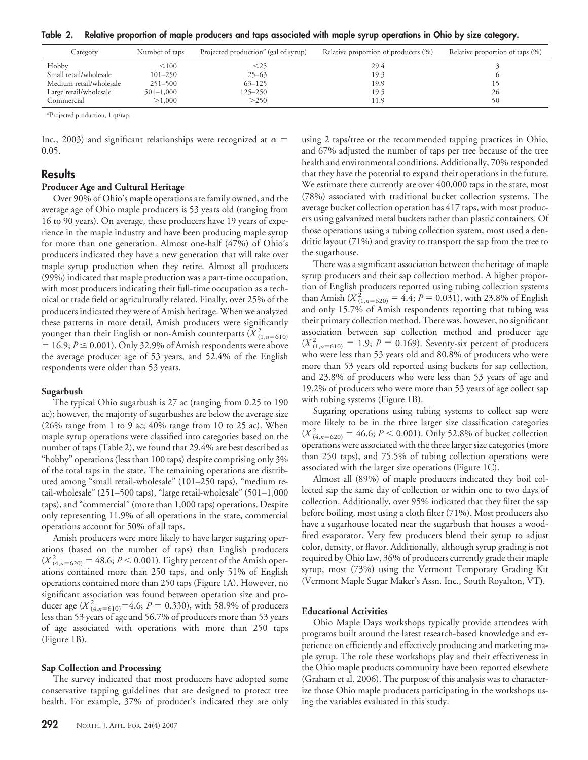**Table 2. Relative proportion of maple producers and taps associated with maple syrup operations in Ohio by size category.**

| Category                | Number of taps | Projected production <sup>a</sup> (gal of syrup) | Relative proportion of producers (%) | Relative proportion of taps $(\% )$ |
|-------------------------|----------------|--------------------------------------------------|--------------------------------------|-------------------------------------|
| Hobby                   | < 100          | $<$ 25                                           | 29.4                                 |                                     |
| Small retail/wholesale  | $101 - 250$    | $25 - 63$                                        | 19.3                                 |                                     |
| Medium retail/wholesale | $251 - 500$    | $63 - 125$                                       | 19.9                                 |                                     |
| Large retail/wholesale  | $501 - 1,000$  | $125 - 250$                                      | 19.5                                 | 26                                  |
| Commercial              | >1,000         | >250                                             | 11.9                                 | 50                                  |

*a* Projected production, 1 qt/tap.

Inc., 2003) and significant relationships were recognized at  $\alpha$  = 0.05.

## **Results**

#### **Producer Age and Cultural Heritage**

Over 90% of Ohio's maple operations are family owned, and the average age of Ohio maple producers is 53 years old (ranging from 16 to 90 years). On average, these producers have 19 years of experience in the maple industry and have been producing maple syrup for more than one generation. Almost one-half (47%) of Ohio's producers indicated they have a new generation that will take over maple syrup production when they retire. Almost all producers (99%) indicated that maple production was a part-time occupation, with most producers indicating their full-time occupation as a technical or trade field or agriculturally related. Finally, over 25% of the producers indicated they were of Amish heritage. When we analyzed these patterns in more detail, Amish producers were significantly younger than their English or non-Amish counterparts  $(\overline{X}^2_{(1,n=610)})$  $= 16.9; P \le 0.001$ ). Only 32.9% of Amish respondents were above the average producer age of 53 years, and 52.4% of the English respondents were older than 53 years.

#### **Sugarbush**

The typical Ohio sugarbush is 27 ac (ranging from 0.25 to 190 ac); however, the majority of sugarbushes are below the average size (26% range from 1 to 9 ac; 40% range from 10 to 25 ac). When maple syrup operations were classified into categories based on the number of taps (Table 2), we found that 29.4% are best described as "hobby" operations (less than 100 taps) despite comprising only 3% of the total taps in the state. The remaining operations are distributed among "small retail-wholesale" (101–250 taps), "medium retail-wholesale" (251–500 taps), "large retail-wholesale" (501–1,000 taps), and "commercial" (more than 1,000 taps) operations. Despite only representing 11.9% of all operations in the state, commercial operations account for 50% of all taps.

Amish producers were more likely to have larger sugaring operations (based on the number of taps) than English producers  $(X_{(4, n=620)}^2 = 48.6; P < 0.001)$ . Eighty percent of the Amish operations contained more than 250 taps, and only 51% of English operations contained more than 250 taps (Figure 1A). However, no significant association was found between operation size and producer age  $(X_{(4,n=610)}^2=4.6; P=0.330)$ , with 58.9% of producers less than 53 years of age and 56.7% of producers more than 53 years of age associated with operations with more than 250 taps (Figure 1B).

#### **Sap Collection and Processing**

The survey indicated that most producers have adopted some conservative tapping guidelines that are designed to protect tree health. For example, 37% of producer's indicated they are only using 2 taps/tree or the recommended tapping practices in Ohio, and 67% adjusted the number of taps per tree because of the tree health and environmental conditions. Additionally, 70% responded that they have the potential to expand their operations in the future. We estimate there currently are over 400,000 taps in the state, most (78%) associated with traditional bucket collection systems. The average bucket collection operation has 417 taps, with most producers using galvanized metal buckets rather than plastic containers. Of those operations using a tubing collection system, most used a dendritic layout (71%) and gravity to transport the sap from the tree to the sugarhouse.

There was a significant association between the heritage of maple syrup producers and their sap collection method. A higher proportion of English producers reported using tubing collection systems than Amish ( $X^2_{(1,n=620)} = 4.4; P = 0.031$ ), with 23.8% of English and only 15.7% of Amish respondents reporting that tubing was their primary collection method. There was, however, no significant association between sap collection method and producer age  $(X_{(1,n=610)}^2 = 1.9; P = 0.169)$ . Seventy-six percent of producers who were less than 53 years old and 80.8% of producers who were more than 53 years old reported using buckets for sap collection, and 23.8% of producers who were less than 53 years of age and 19.2% of producers who were more than 53 years of age collect sap with tubing systems (Figure 1B).

Sugaring operations using tubing systems to collect sap were more likely to be in the three larger size classification categories  $(X_{(4, n=620)}^2 = 46.6; P < 0.001)$ . Only 52.8% of bucket collection operations were associated with the three larger size categories (more than 250 taps), and 75.5% of tubing collection operations were associated with the larger size operations (Figure 1C).

Almost all (89%) of maple producers indicated they boil collected sap the same day of collection or within one to two days of collection. Additionally, over 95% indicated that they filter the sap before boiling, most using a cloth filter (71%). Most producers also have a sugarhouse located near the sugarbush that houses a woodfired evaporator. Very few producers blend their syrup to adjust color, density, or flavor. Additionally, although syrup grading is not required by Ohio law, 36% of producers currently grade their maple syrup, most (73%) using the Vermont Temporary Grading Kit (Vermont Maple Sugar Maker's Assn. Inc., South Royalton, VT).

#### **Educational Activities**

Ohio Maple Days workshops typically provide attendees with programs built around the latest research-based knowledge and experience on efficiently and effectively producing and marketing maple syrup. The role these workshops play and their effectiveness in the Ohio maple products community have been reported elsewhere (Graham et al. 2006). The purpose of this analysis was to characterize those Ohio maple producers participating in the workshops using the variables evaluated in this study.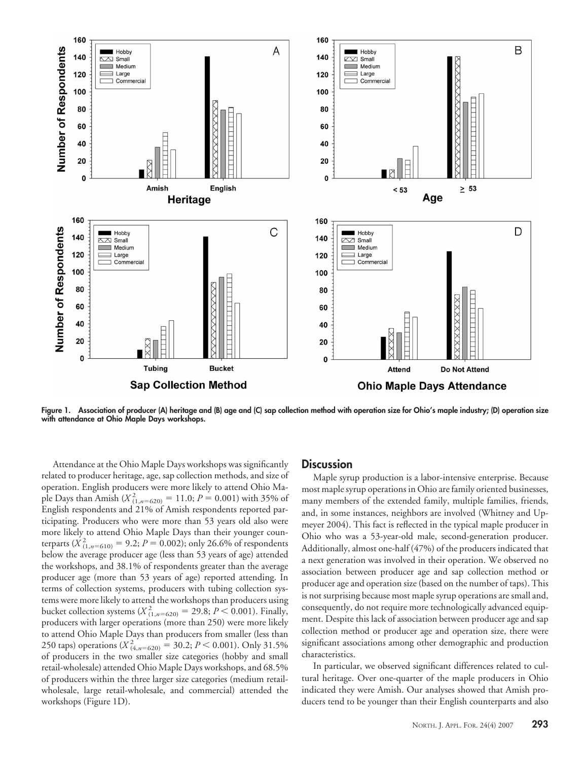

**Figure 1. Association of producer (A) heritage and (B) age and (C) sap collection method with operation size for Ohio's maple industry; (D) operation size with attendance at Ohio Maple Days workshops.**

Attendance at the Ohio Maple Days workshops was significantly related to producer heritage, age, sap collection methods, and size of operation. English producers were more likely to attend Ohio Maple Days than Amish ( $X^2_{(1,n=620)} = 11.0; P = 0.001$ ) with 35% of English respondents and 21% of Amish respondents reported participating. Producers who were more than 53 years old also were more likely to attend Ohio Maple Days than their younger counterparts ( $\chi^2_{(1,n=610)} = 9.2; P = 0.002$ ); only 26.6% of respondents below the average producer age (less than 53 years of age) attended the workshops, and 38.1% of respondents greater than the average producer age (more than 53 years of age) reported attending. In terms of collection systems, producers with tubing collection systems were more likely to attend the workshops than producers using bucket collection systems ( $X_{(1,n=620)}^2 = 29.8; P < 0.001$ ). Finally, producers with larger operations (more than 250) were more likely to attend Ohio Maple Days than producers from smaller (less than 250 taps) operations ( $X_{(4,n=620)}^2 = 30.2; P < 0.001$ ). Only 31.5% of producers in the two smaller size categories (hobby and small retail-wholesale) attended Ohio Maple Days workshops, and 68.5% of producers within the three larger size categories (medium retailwholesale, large retail-wholesale, and commercial) attended the workshops (Figure 1D).

## **Discussion**

Maple syrup production is a labor-intensive enterprise. Because most maple syrup operations in Ohio are family oriented businesses, many members of the extended family, multiple families, friends, and, in some instances, neighbors are involved (Whitney and Upmeyer 2004). This fact is reflected in the typical maple producer in Ohio who was a 53-year-old male, second-generation producer. Additionally, almost one-half (47%) of the producers indicated that a next generation was involved in their operation. We observed no association between producer age and sap collection method or producer age and operation size (based on the number of taps). This is not surprising because most maple syrup operations are small and, consequently, do not require more technologically advanced equipment. Despite this lack of association between producer age and sap collection method or producer age and operation size, there were significant associations among other demographic and production characteristics.

In particular, we observed significant differences related to cultural heritage. Over one-quarter of the maple producers in Ohio indicated they were Amish. Our analyses showed that Amish producers tend to be younger than their English counterparts and also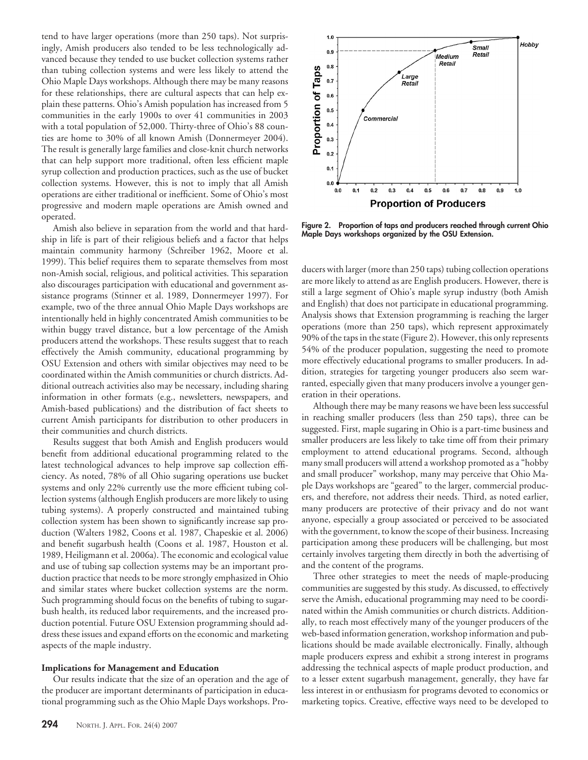tend to have larger operations (more than 250 taps). Not surprisingly, Amish producers also tended to be less technologically advanced because they tended to use bucket collection systems rather than tubing collection systems and were less likely to attend the Ohio Maple Days workshops. Although there may be many reasons for these relationships, there are cultural aspects that can help explain these patterns. Ohio's Amish population has increased from 5 communities in the early 1900s to over 41 communities in 2003 with a total population of 52,000. Thirty-three of Ohio's 88 counties are home to 30% of all known Amish (Donnermeyer 2004). The result is generally large families and close-knit church networks that can help support more traditional, often less efficient maple syrup collection and production practices, such as the use of bucket collection systems. However, this is not to imply that all Amish operations are either traditional or inefficient. Some of Ohio's most progressive and modern maple operations are Amish owned and operated.

Amish also believe in separation from the world and that hardship in life is part of their religious beliefs and a factor that helps maintain community harmony (Schreiber 1962, Moore et al. 1999). This belief requires them to separate themselves from most non-Amish social, religious, and political activities. This separation also discourages participation with educational and government assistance programs (Stinner et al. 1989, Donnermeyer 1997). For example, two of the three annual Ohio Maple Days workshops are intentionally held in highly concentrated Amish communities to be within buggy travel distance, but a low percentage of the Amish producers attend the workshops. These results suggest that to reach effectively the Amish community, educational programming by OSU Extension and others with similar objectives may need to be coordinated within the Amish communities or church districts. Additional outreach activities also may be necessary, including sharing information in other formats (e.g., newsletters, newspapers, and Amish-based publications) and the distribution of fact sheets to current Amish participants for distribution to other producers in their communities and church districts.

Results suggest that both Amish and English producers would benefit from additional educational programming related to the latest technological advances to help improve sap collection efficiency. As noted, 78% of all Ohio sugaring operations use bucket systems and only 22% currently use the more efficient tubing collection systems (although English producers are more likely to using tubing systems). A properly constructed and maintained tubing collection system has been shown to significantly increase sap production (Walters 1982, Coons et al. 1987, Chapeskie et al. 2006) and benefit sugarbush health (Coons et al. 1987, Houston et al. 1989, Heiligmann et al. 2006a). The economic and ecological value and use of tubing sap collection systems may be an important production practice that needs to be more strongly emphasized in Ohio and similar states where bucket collection systems are the norm. Such programming should focus on the benefits of tubing to sugarbush health, its reduced labor requirements, and the increased production potential. Future OSU Extension programming should address these issues and expand efforts on the economic and marketing aspects of the maple industry.

#### **Implications for Management and Education**

Our results indicate that the size of an operation and the age of the producer are important determinants of participation in educational programming such as the Ohio Maple Days workshops. Pro-



**Figure 2. Proportion of taps and producers reached through current Ohio Maple Days workshops organized by the OSU Extension.**

ducers with larger (more than 250 taps) tubing collection operations are more likely to attend as are English producers. However, there is still a large segment of Ohio's maple syrup industry (both Amish and English) that does not participate in educational programming. Analysis shows that Extension programming is reaching the larger operations (more than 250 taps), which represent approximately 90% of the taps in the state (Figure 2). However, this only represents 54% of the producer population, suggesting the need to promote more effectively educational programs to smaller producers. In addition, strategies for targeting younger producers also seem warranted, especially given that many producers involve a younger generation in their operations.

Although there may be many reasons we have been less successful in reaching smaller producers (less than 250 taps), three can be suggested. First, maple sugaring in Ohio is a part-time business and smaller producers are less likely to take time off from their primary employment to attend educational programs. Second, although many small producers will attend a workshop promoted as a "hobby and small producer" workshop, many may perceive that Ohio Maple Days workshops are "geared" to the larger, commercial producers, and therefore, not address their needs. Third, as noted earlier, many producers are protective of their privacy and do not want anyone, especially a group associated or perceived to be associated with the government, to know the scope of their business. Increasing participation among these producers will be challenging, but most certainly involves targeting them directly in both the advertising of and the content of the programs.

Three other strategies to meet the needs of maple-producing communities are suggested by this study. As discussed, to effectively serve the Amish, educational programming may need to be coordinated within the Amish communities or church districts. Additionally, to reach most effectively many of the younger producers of the web-based information generation, workshop information and publications should be made available electronically. Finally, although maple producers express and exhibit a strong interest in programs addressing the technical aspects of maple product production, and to a lesser extent sugarbush management, generally, they have far less interest in or enthusiasm for programs devoted to economics or marketing topics. Creative, effective ways need to be developed to